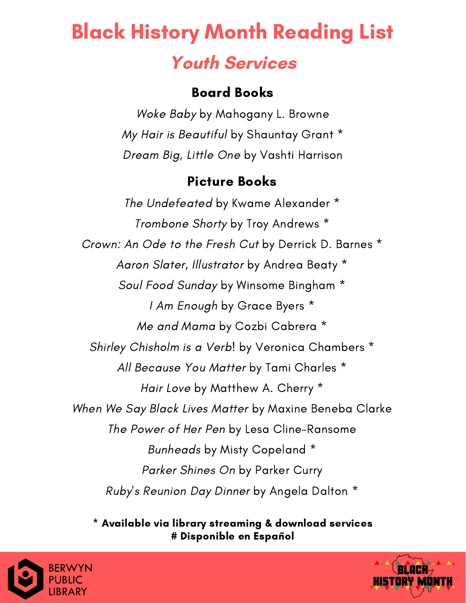### Board Books

Woke Baby by Mahogany L. Browne My Hair is Beautiful by Shauntay Grant \* Dream Big, Little One by Vashti Harrison

### Picture Books

The Undefeated by Kwame Alexander \* Trombone Shorty by Troy Andrews \* Crown: An Ode to the Fresh Cut by Derrick D. Barnes \* Aaron Slater, Illustrator by Andrea Beaty \* Soul Food Sunday by Winsome Bingham \* I Am Enough by Grace Byers \* Me and Mama by Cozbi Cabrera \* Shirley Chisholm is a Verb! by Veronica Chambers \* All Because You Matter by Tami Charles \* Hair Love by Matthew A. Cherry \* When We Say Black Lives Matter by Maxine Beneba Clarke The Power of Her Pen by Lesa Cline-Ransome Bunheads by Misty Copeland \* Parker Shines On by Parker Curry Ruby's Reunion Day Dinner by Angela Dalton \*



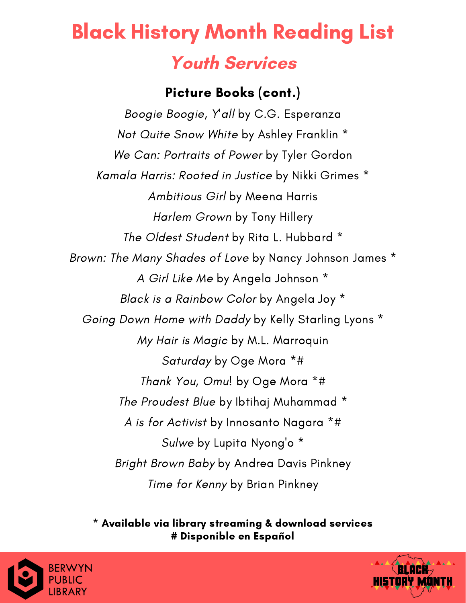### Picture Books (cont.)

Boogie Boogie, Y'all by C.G. Esperanza Not Quite Snow White by Ashley Franklin \* We Can: Portraits of Power by Tyler Gordon Kamala Harris: Rooted in Justice by Nikki Grimes \* Ambitious Girl by Meena Harris Harlem Grown by Tony Hillery The Oldest Student by Rita L. Hubbard \* Brown: The Many Shades of Love by Nancy Johnson James \* A Girl Like Me by Angela Johnson \* Black is a Rainbow Color by Angela Joy \* Going Down Home with Daddy by Kelly Starling Lyons \* My Hair is Magic by M.L. Marroquin Saturday by Oge Mora \*# Thank You, Omu! by Oge Mora \*# The Proudest Blue by Ibtihaj Muhammad \* A is for Activist by Innosanto Nagara \*# Sulwe by Lupita Nyong'o \* Bright Brown Baby by Andrea Davis Pinkney Time for Kenny by Brian Pinkney



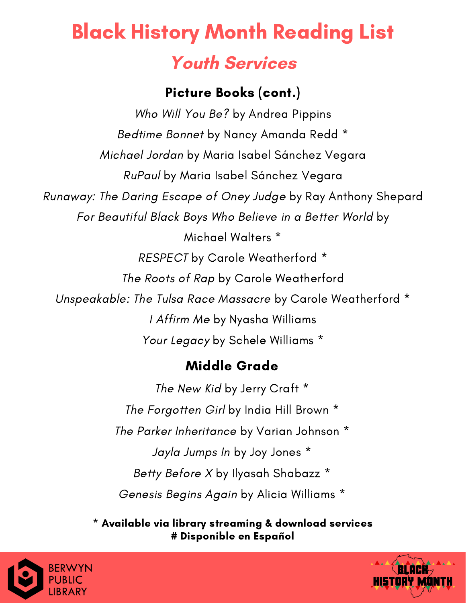## Picture Books (cont.)

Who Will You Be? by Andrea Pippins Bedtime Bonnet by Nancy Amanda Redd \* Michael Jordan by Maria Isabel Sánchez Vegara RuPaul by Maria Isabel Sánchez Vegara Runaway: The Daring Escape of Oney Judge by Ray Anthony Shepard For Beautiful Black Boys Who Believe in a Better World by Michael Walters \* RESPECT by Carole Weatherford \* The Roots of Rap by Carole Weatherford Unspeakable: The Tulsa Race Massacre by Carole Weatherford \* I Affirm Me by Nyasha Williams Your Legacy by Schele Williams \*

# Middle Grade

The New Kid by Jerry Craft \* The Forgotten Girl by India Hill Brown \* The Parker Inheritance by Varian Johnson \* Jayla Jumps In by Joy Jones \* Betty Before X by Ilyasah Shabazz \* Genesis Begins Again by Alicia Williams \*



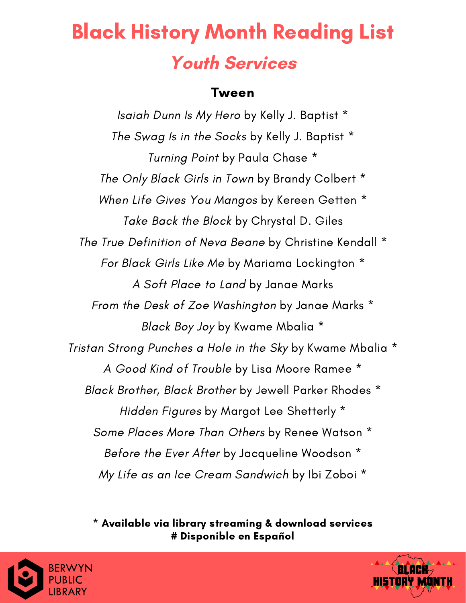#### Tween

Isaiah Dunn Is My Hero by Kelly J. Baptist \* The Swag Is in the Socks by Kelly J. Baptist \* Turning Point by Paula Chase \* The Only Black Girls in Town by Brandy Colbert \* When Life Gives You Mangos by Kereen Getten \* Take Back the Block by Chrystal D. Giles The True Definition of Neva Beane by Christine Kendall \* For Black Girls Like Me by Mariama Lockington \* A Soft Place to Land by Janae Marks From the Desk of Zoe Washington by Janae Marks \* Black Boy Joy by Kwame Mbalia \* Tristan Strong Punches a Hole in the Sky by Kwame Mbalia \* A Good Kind of Trouble by Lisa Moore Ramee \* Black Brother, Black Brother by Jewell Parker Rhodes \* Hidden Figures by Margot Lee Shetterly \* Some Places More Than Others by Renee Watson \* Before the Ever After by Jacqueline Woodson \* My Life as an Ice Cream Sandwich by Ibi Zoboi \*